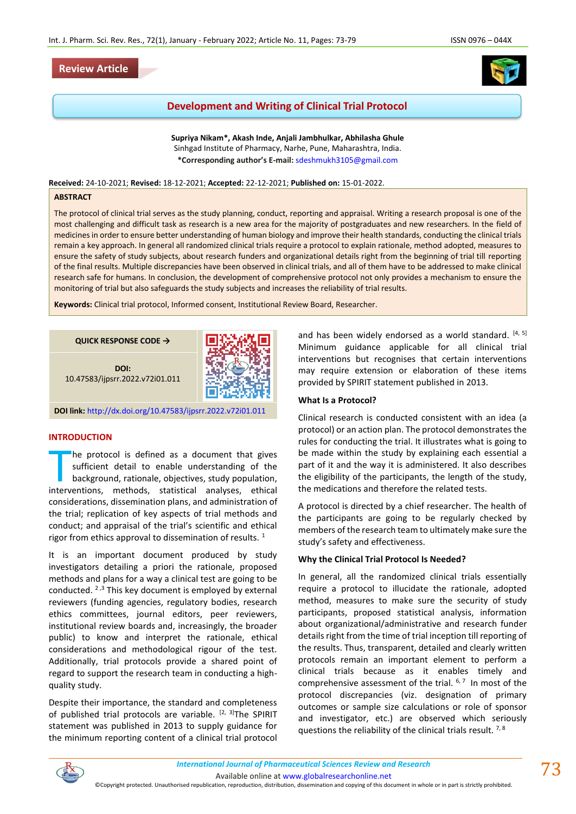# **Review Article**



# **Development and Writing of Clinical Trial Protocol**

**Supriya Nikam\*, Akash Inde, Anjali Jambhulkar, Abhilasha Ghule** Sinhgad Institute of Pharmacy, Narhe, Pune, Maharashtra, India. **\*Corresponding author's E-mail:** [sdeshmukh3105@gmail.com](about:blank)

**Received:** 24-10-2021; **Revised:** 18-12-2021; **Accepted:** 22-12-2021; **Published on:** 15-01-2022.

### **ABSTRACT**

The protocol of clinical trial serves as the study planning, conduct, reporting and appraisal. Writing a research proposal is one of the most challenging and difficult task as research is a new area for the majority of postgraduates and new researchers. In the field of medicines in order to ensure better understanding of human biology and improve their health standards, conducting the clinical trials remain a key approach. In general all randomized clinical trials require a protocol to explain rationale, method adopted, measures to ensure the safety of study subjects, about research funders and organizational details right from the beginning of trial till reporting of the final results. Multiple discrepancies have been observed in clinical trials, and all of them have to be addressed to make clinical research safe for humans. In conclusion, the development of comprehensive protocol not only provides a mechanism to ensure the monitoring of trial but also safeguards the study subjects and increases the reliability of trial results.

**Keywords:** Clinical trial protocol, Informed consent, Institutional Review Board, Researcher.

**QUICK RESPONSE CODE →**

**DOI:** 10.47583/ijpsrr.2022.v72i01.011



**DOI link:** <http://dx.doi.org/10.47583/ijpsrr.2022.v72i01.011>

# **INTRODUCTION**

he protocol is defined as a document that gives sufficient detail to enable understanding of the background, rationale, objectives, study population, The protocol is defined as a document that gives<br>sufficient detail to enable understanding of the<br>background, rationale, objectives, study population,<br>interventions, methods, statistical analyses, ethical considerations, dissemination plans, and administration of the trial; replication of key aspects of trial methods and conduct; and appraisal of the trial's scientific and ethical rigor from ethics approval to dissemination of results.  $1$ 

It is an important document produced by study investigators detailing a priori the rationale, proposed methods and plans for a way a clinical test are going to be conducted.  $2,3$  This key document is employed by external reviewers (funding agencies, regulatory bodies, research ethics committees, journal editors, peer reviewers, institutional review boards and, increasingly, the broader public) to know and interpret the rationale, ethical considerations and methodological rigour of the test. Additionally, trial protocols provide a shared point of regard to support the research team in conducting a highquality study.

Despite their importance, the standard and completeness of published trial protocols are variable.  $[2, 3]$ The SPIRIT statement was published in 2013 to supply guidance for the minimum reporting content of a clinical trial protocol and has been widely endorsed as a world standard.  $[4, 5]$ Minimum guidance applicable for all clinical trial interventions but recognises that certain interventions may require extension or elaboration of these items provided by SPIRIT statement published in 2013.

#### **What Is a Protocol?**

Clinical research is conducted consistent with an idea (a protocol) or an action plan. The protocol demonstrates the rules for conducting the trial. It illustrates what is going to be made within the study by explaining each essential a part of it and the way it is administered. It also describes the eligibility of the participants, the length of the study, the medications and therefore the related tests.

A protocol is directed by a chief researcher. The health of the participants are going to be regularly checked by members of the research team to ultimately make sure the study's safety and effectiveness.

### **Why the Clinical Trial Protocol Is Needed?**

In general, all the randomized clinical trials essentially require a protocol to illucidate the rationale, adopted method, measures to make sure the security of study participants, proposed statistical analysis, information about organizational/administrative and research funder details right from the time of trial inception till reporting of the results. Thus, transparent, detailed and clearly written protocols remain an important element to perform a clinical trials because as it enables timely and comprehensive assessment of the trial.  $6,7$  In most of the protocol discrepancies (viz. designation of primary outcomes or sample size calculations or role of sponsor and investigator, etc.) are observed which seriously questions the reliability of the clinical trials result.  $7,8$ 

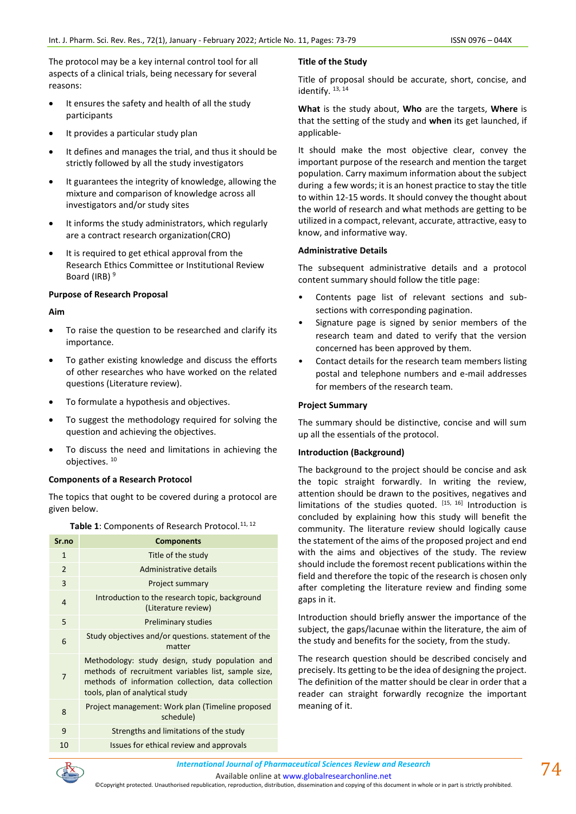The protocol may be a key internal control tool for all aspects of a clinical trials, being necessary for several reasons:

- It ensures the safety and health of all the study participants
- It provides a particular study plan
- It defines and manages the trial, and thus it should be strictly followed by all the study investigators
- It guarantees the integrity of knowledge, allowing the mixture and comparison of knowledge across all investigators and/or study sites
- It informs the study administrators, which regularly are a contract research organization(CRO)
- It is required to get ethical approval from the Research Ethics Committee or Institutional Review Board (IRB)<sup>9</sup>

## **Purpose of Research Proposal**

## **Aim**

- To raise the question to be researched and clarify its importance.
- To gather existing knowledge and discuss the efforts of other researches who have worked on the related questions (Literature review).
- To formulate a hypothesis and objectives.
- To suggest the methodology required for solving the question and achieving the objectives.
- To discuss the need and limitations in achieving the objectives. <sup>10</sup>

# **Components of a Research Protocol**

The topics that ought to be covered during a protocol are given below.

| Sr.no          | <b>Components</b>                                                                                                                                                                               |
|----------------|-------------------------------------------------------------------------------------------------------------------------------------------------------------------------------------------------|
| 1              | Title of the study                                                                                                                                                                              |
| $\overline{2}$ | Administrative details                                                                                                                                                                          |
| 3              | Project summary                                                                                                                                                                                 |
| 4              | Introduction to the research topic, background<br>(Literature review)                                                                                                                           |
| 5              | <b>Preliminary studies</b>                                                                                                                                                                      |
| 6              | Study objectives and/or questions. statement of the<br>matter                                                                                                                                   |
| 7              | Methodology: study design, study population and<br>methods of recruitment variables list, sample size,<br>methods of information collection, data collection<br>tools, plan of analytical study |
| 8              | Project management: Work plan (Timeline proposed<br>schedule)                                                                                                                                   |
| 9              | Strengths and limitations of the study                                                                                                                                                          |
| 10             | Issues for ethical review and approvals                                                                                                                                                         |

Table 1: Components of Research Protocol.<sup>11, 12</sup>

# **Title of the Study**

Title of proposal should be accurate, short, concise, and identify.  $13, 14$ 

**What** is the study about, **Who** are the targets, **Where** is that the setting of the study and **when** its get launched, if applicable-

It should make the most objective clear, convey the important purpose of the research and mention the target population. Carry maximum information about the subject during a few words; it is an honest practice to stay the title to within 12-15 words. It should convey the thought about the world of research and what methods are getting to be utilized in a compact, relevant, accurate, attractive, easy to know, and informative way.

## **Administrative Details**

The subsequent administrative details and a protocol content summary should follow the title page:

- Contents page list of relevant sections and subsections with corresponding pagination.
- Signature page is signed by senior members of the research team and dated to verify that the version concerned has been approved by them.
- Contact details for the research team members listing postal and telephone numbers and e-mail addresses for members of the research team.

# **Project Summary**

The summary should be distinctive, concise and will sum up all the essentials of the protocol.

# **Introduction (Background)**

The background to the project should be concise and ask the topic straight forwardly. In writing the review, attention should be drawn to the positives, negatives and limitations of the studies quoted.  $[15, 16]$  Introduction is concluded by explaining how this study will benefit the community. The literature review should logically cause the statement of the aims of the proposed project and end with the aims and objectives of the study. The review should include the foremost recent publications within the field and therefore the topic of the research is chosen only after completing the literature review and finding some gaps in it.

Introduction should briefly answer the importance of the subject, the gaps/lacunae within the literature, the aim of the study and benefits for the society, from the study.

The research question should be described concisely and precisely. Its getting to be the idea of designing the project. The definition of the matter should be clear in order that a reader can straight forwardly recognize the important meaning of it.

*International Journal of Pharmaceutical Sciences Review and Research International Journal of Pharmaceutical Sciences Review and Research*

Available online a[t www.globalresearchonline.net](http://www.globalresearchonline.net/)

©Copyright protected. Unauthorised republication, reproduction, distribution, dissemination and copying of this document in whole or in part is strictly prohibited.

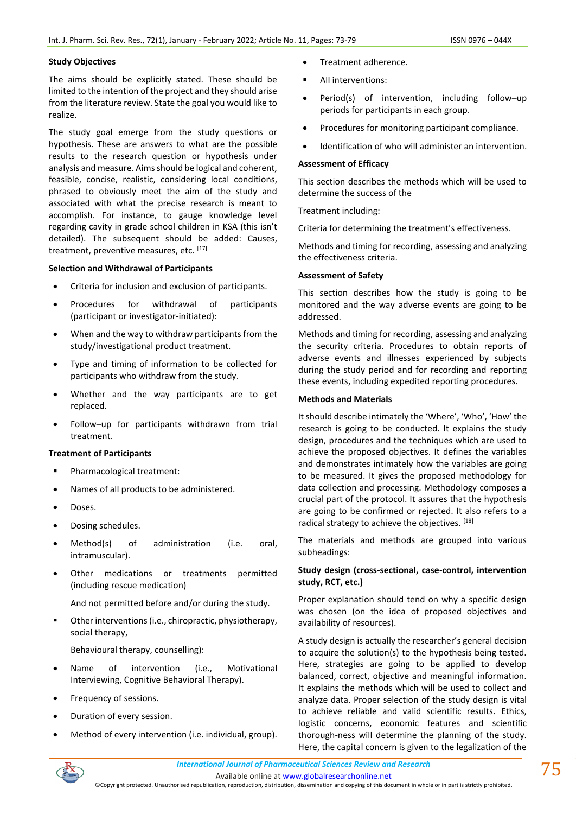### **Study Objectives**

The aims should be explicitly stated. These should be limited to the intention of the project and they should arise from the literature review. State the goal you would like to realize.

The study goal emerge from the study questions or hypothesis. These are answers to what are the possible results to the research question or hypothesis under analysis and measure. Aims should be logical and coherent, feasible, concise, realistic, considering local conditions, phrased to obviously meet the aim of the study and associated with what the precise research is meant to accomplish. For instance, to gauge knowledge level regarding cavity in grade school children in KSA (this isn't detailed). The subsequent should be added: Causes, treatment, preventive measures, etc. [17]

### **Selection and Withdrawal of Participants**

- Criteria for inclusion and exclusion of participants.
- Procedures for withdrawal of participants (participant or investigator-initiated):
- When and the way to withdraw participants from the study/investigational product treatment.
- Type and timing of information to be collected for participants who withdraw from the study.
- Whether and the way participants are to get replaced.
- Follow–up for participants withdrawn from trial treatment.

### **Treatment of Participants**

- Pharmacological treatment:
- Names of all products to be administered.
- Doses.
- Dosing schedules.
- Method(s) of administration (i.e. oral, intramuscular).
- Other medications or treatments permitted (including rescue medication)

And not permitted before and/or during the study.

- Other interventions (i.e., chiropractic, physiotherapy, social therapy,
	- Behavioural therapy, counselling):
- Name of intervention (i.e., Motivational Interviewing, Cognitive Behavioral Therapy).
- Frequency of sessions.
- Duration of every session.
- Method of every intervention (i.e. individual, group).
- Treatment adherence.
- All interventions:
- Period(s) of intervention, including follow–up periods for participants in each group.
- Procedures for monitoring participant compliance.
- Identification of who will administer an intervention.

# **Assessment of Efficacy**

This section describes the methods which will be used to determine the success of the

Treatment including:

Criteria for determining the treatment's effectiveness.

Methods and timing for recording, assessing and analyzing the effectiveness criteria.

### **Assessment of Safety**

This section describes how the study is going to be monitored and the way adverse events are going to be addressed.

Methods and timing for recording, assessing and analyzing the security criteria. Procedures to obtain reports of adverse events and illnesses experienced by subjects during the study period and for recording and reporting these events, including expedited reporting procedures.

## **Methods and Materials**

It should describe intimately the 'Where', 'Who', 'How' the research is going to be conducted. It explains the study design, procedures and the techniques which are used to achieve the proposed objectives. It defines the variables and demonstrates intimately how the variables are going to be measured. It gives the proposed methodology for data collection and processing. Methodology composes a crucial part of the protocol. It assures that the hypothesis are going to be confirmed or rejected. It also refers to a radical strategy to achieve the objectives. [18]

The materials and methods are grouped into various subheadings:

# **Study design (cross-sectional, case-control, intervention study, RCT, etc.)**

Proper explanation should tend on why a specific design was chosen (on the idea of proposed objectives and availability of resources).

A study design is actually the researcher's general decision to acquire the solution(s) to the hypothesis being tested. Here, strategies are going to be applied to develop balanced, correct, objective and meaningful information. It explains the methods which will be used to collect and analyze data. Proper selection of the study design is vital to achieve reliable and valid scientific results. Ethics, logistic concerns, economic features and scientific thorough-ness will determine the planning of the study. Here, the capital concern is given to the legalization of the

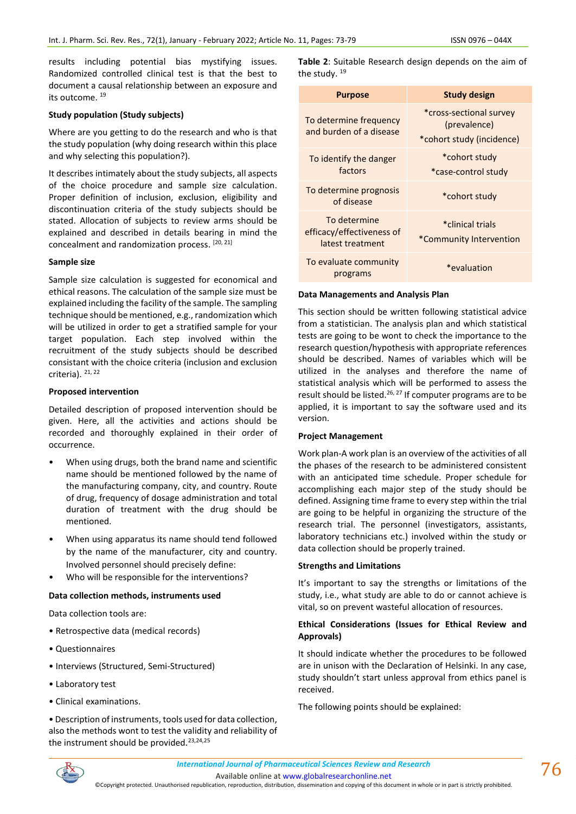results including potential bias mystifying issues. Randomized controlled clinical test is that the best to document a causal relationship between an exposure and its outcome. <sup>19</sup>

### **Study population (Study subjects)**

Where are you getting to do the research and who is that the study population (why doing research within this place and why selecting this population?).

It describes intimately about the study subjects, all aspects of the choice procedure and sample size calculation. Proper definition of inclusion, exclusion, eligibility and discontinuation criteria of the study subjects should be stated. Allocation of subjects to review arms should be explained and described in details bearing in mind the concealment and randomization process. [20, 21]

### **Sample size**

Sample size calculation is suggested for economical and ethical reasons. The calculation of the sample size must be explained including the facility of the sample. The sampling technique should be mentioned, e.g., randomization which will be utilized in order to get a stratified sample for your target population. Each step involved within the recruitment of the study subjects should be described consistant with the choice criteria (inclusion and exclusion criteria).  $21, 22$ 

### **Proposed intervention**

Detailed description of proposed intervention should be given. Here, all the activities and actions should be recorded and thoroughly explained in their order of occurrence.

- When using drugs, both the brand name and scientific name should be mentioned followed by the name of the manufacturing company, city, and country. Route of drug, frequency of dosage administration and total duration of treatment with the drug should be mentioned.
- When using apparatus its name should tend followed by the name of the manufacturer, city and country. Involved personnel should precisely define:
- Who will be responsible for the interventions?

### **Data collection methods, instruments used**

Data collection tools are:

- Retrospective data (medical records)
- Questionnaires
- Interviews (Structured, Semi-Structured)
- Laboratory test
- Clinical examinations.

• Description of instruments, tools used for data collection, also the methods wont to test the validity and reliability of the instrument should be provided.<sup>23,24,25</sup>

**Table 2**: Suitable Research design depends on the aim of the study.<sup>19</sup>

| <b>Purpose</b>                                                | Study design                                                         |
|---------------------------------------------------------------|----------------------------------------------------------------------|
| To determine frequency<br>and burden of a disease             | *cross-sectional survey<br>(prevalence)<br>*cohort study (incidence) |
| To identify the danger<br>factors                             | *cohort study<br>*case-control study                                 |
| To determine prognosis<br>of disease                          | *cohort study                                                        |
| To determine<br>efficacy/effectiveness of<br>latest treatment | *clinical trials<br>*Community Intervention                          |
| To evaluate community<br>programs                             | *evaluation*                                                         |

#### **Data Managements and Analysis Plan**

This section should be written following statistical advice from a statistician. The analysis plan and which statistical tests are going to be wont to check the importance to the research question/hypothesis with appropriate references should be described. Names of variables which will be utilized in the analyses and therefore the name of statistical analysis which will be performed to assess the result should be listed.<sup>26, 27</sup> If computer programs are to be applied, it is important to say the software used and its version.

#### **Project Management**

Work plan-A work plan is an overview of the activities of all the phases of the research to be administered consistent with an anticipated time schedule. Proper schedule for accomplishing each major step of the study should be defined. Assigning time frame to every step within the trial are going to be helpful in organizing the structure of the research trial. The personnel (investigators, assistants, laboratory technicians etc.) involved within the study or data collection should be properly trained.

#### **Strengths and Limitations**

It's important to say the strengths or limitations of the study, i.e., what study are able to do or cannot achieve is vital, so on prevent wasteful allocation of resources.

## **Ethical Considerations (Issues for Ethical Review and Approvals)**

It should indicate whether the procedures to be followed are in unison with the Declaration of Helsinki. In any case, study shouldn't start unless approval from ethics panel is received.

The following points should be explained:



Available online a[t www.globalresearchonline.net](http://www.globalresearchonline.net/)

©Copyright protected. Unauthorised republication, reproduction, distribution, dissemination and copying of this document in whole or in part is strictly prohibited.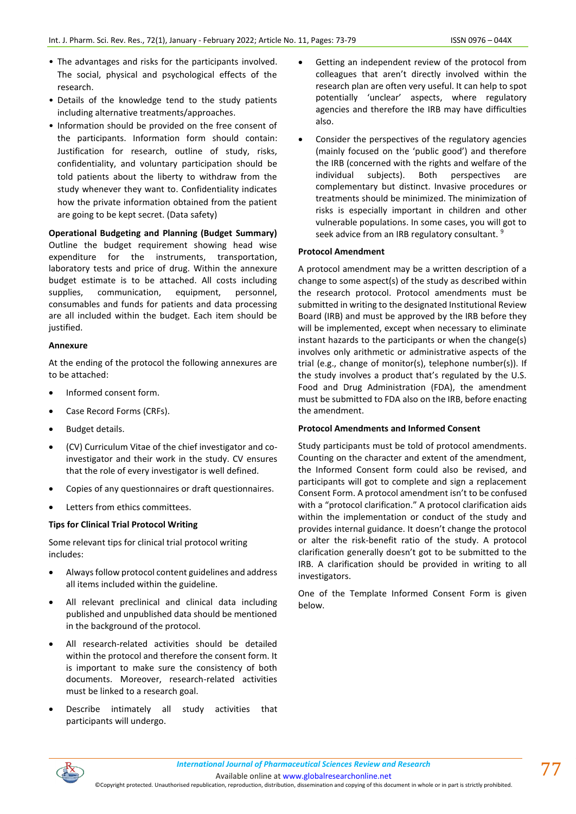- The advantages and risks for the participants involved. The social, physical and psychological effects of the research.
- Details of the knowledge tend to the study patients including alternative treatments/approaches.
- Information should be provided on the free consent of the participants. Information form should contain: Justification for research, outline of study, risks, confidentiality, and voluntary participation should be told patients about the liberty to withdraw from the study whenever they want to. Confidentiality indicates how the private information obtained from the patient are going to be kept secret. (Data safety)

# **Operational Budgeting and Planning (Budget Summary)**

Outline the budget requirement showing head wise expenditure for the instruments, transportation, laboratory tests and price of drug. Within the annexure budget estimate is to be attached. All costs including supplies, communication, equipment, personnel, consumables and funds for patients and data processing are all included within the budget. Each item should be justified.

### **Annexure**

At the ending of the protocol the following annexures are to be attached:

- Informed consent form.
- Case Record Forms (CRFs).
- Budget details.
- (CV) Curriculum Vitae of the chief investigator and coinvestigator and their work in the study. CV ensures that the role of every investigator is well defined.
- Copies of any questionnaires or draft questionnaires.
- Letters from ethics committees.

# **Tips for Clinical Trial Protocol Writing**

Some relevant tips for clinical trial protocol writing includes:

- Always follow protocol content guidelines and address all items included within the guideline.
- All relevant preclinical and clinical data including published and unpublished data should be mentioned in the background of the protocol.
- All research-related activities should be detailed within the protocol and therefore the consent form. It is important to make sure the consistency of both documents. Moreover, research-related activities must be linked to a research goal.
- Describe intimately all study activities that participants will undergo.
- Getting an independent review of the protocol from colleagues that aren't directly involved within the research plan are often very useful. It can help to spot potentially 'unclear' aspects, where regulatory agencies and therefore the IRB may have difficulties also.
- Consider the perspectives of the regulatory agencies (mainly focused on the 'public good') and therefore the IRB (concerned with the rights and welfare of the individual subjects). Both perspectives are complementary but distinct. Invasive procedures or treatments should be minimized. The minimization of risks is especially important in children and other vulnerable populations. In some cases, you will got to seek advice from an IRB regulatory consultant.<sup>9</sup>

# **Protocol Amendment**

A protocol amendment may be a written description of a change to some aspect(s) of the study as described within the research protocol. Protocol amendments must be submitted in writing to the designated Institutional Review Board (IRB) and must be approved by the IRB before they will be implemented, except when necessary to eliminate instant hazards to the participants or when the change(s) involves only arithmetic or administrative aspects of the trial (e.g., change of monitor(s), telephone number(s)). If the study involves a product that's regulated by the U.S. Food and Drug Administration (FDA), the amendment must be submitted to FDA also on the IRB, before enacting the amendment.

# **Protocol Amendments and Informed Consent**

Study participants must be told of protocol amendments. Counting on the character and extent of the amendment, the Informed Consent form could also be revised, and participants will got to complete and sign a replacement Consent Form. A protocol amendment isn't to be confused with a "protocol clarification." A protocol clarification aids within the implementation or conduct of the study and provides internal guidance. It doesn't change the protocol or alter the risk-benefit ratio of the study. A protocol clarification generally doesn't got to be submitted to the IRB. A clarification should be provided in writing to all investigators.

One of the Template Informed Consent Form is given below.

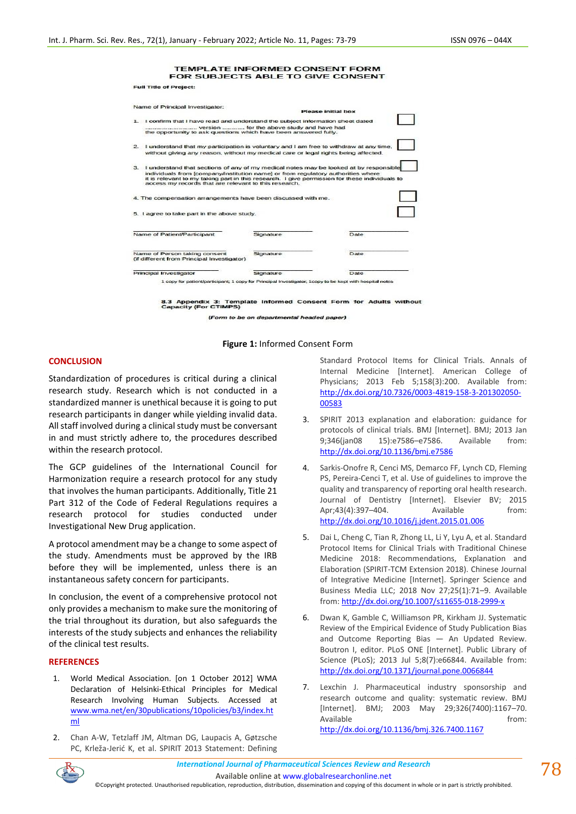#### TEMPLATE INFORMED CONSENT FORM FOR SUBJECTS ABLE TO GIVE CONSENT

**Full Title of Project:** 

| Name of Principal Investigator:                                                                                                                                                                                                                                                                                                        |           |                                                                                                          |  |  |  |
|----------------------------------------------------------------------------------------------------------------------------------------------------------------------------------------------------------------------------------------------------------------------------------------------------------------------------------------|-----------|----------------------------------------------------------------------------------------------------------|--|--|--|
|                                                                                                                                                                                                                                                                                                                                        |           | Please initial box                                                                                       |  |  |  |
| 1. I confirm that I have read and understand the subject information sheet dated                                                                                                                                                                                                                                                       |           |                                                                                                          |  |  |  |
| version  for the above study and have had<br>the opportunity to ask questions which have been answered fully.                                                                                                                                                                                                                          |           |                                                                                                          |  |  |  |
| I understand that my participation is voluntary and I am free to withdraw at any time.<br>$\sim$<br>without giving any reason, without my medical care or legal rights being affected.                                                                                                                                                 |           |                                                                                                          |  |  |  |
| 3. I understand that sections of any of my medical notes may be looked at by responsible<br>individuals from [company/institution name] or from regulatory authorities where<br>it is relevant to my taking part in this research. I give permission for these individuals to<br>access my records that are relevant to this research. |           |                                                                                                          |  |  |  |
| 4. The compensation arrangements have been discussed with me.                                                                                                                                                                                                                                                                          |           |                                                                                                          |  |  |  |
| 5. I agree to take part in the above study.                                                                                                                                                                                                                                                                                            |           |                                                                                                          |  |  |  |
| Name of Patient/Participant                                                                                                                                                                                                                                                                                                            | Signature | Date                                                                                                     |  |  |  |
| Name of Person taking consent<br>(if different from Principal Investigator)                                                                                                                                                                                                                                                            | Signature | Date                                                                                                     |  |  |  |
| Principal Investigator                                                                                                                                                                                                                                                                                                                 | Signature | Date                                                                                                     |  |  |  |
|                                                                                                                                                                                                                                                                                                                                        |           | 1 copy for patient/participant; 1 copy for Principal Investigator; 1 copy to be kept with hospital notes |  |  |  |

8.3 Appendix 3: Template Informed Consent Form for Adults without<br>Capacity (For CTIMPS)

(Form to be on departmental headed paper)

#### **Figure 1:** Informed Consent Form

## **CONCLUSION**

Standardization of procedures is critical during a clinical research study. Research which is not conducted in a standardized manner is unethical because it is going to put research participants in danger while yielding invalid data. All staff involved during a clinical study must be conversant in and must strictly adhere to, the procedures described within the research protocol.

The GCP guidelines of the International Council for Harmonization require a research protocol for any study that involves the human participants. Additionally, Title 21 Part 312 of the Code of Federal Regulations requires a research protocol for studies conducted under Investigational New Drug application.

A protocol amendment may be a change to some aspect of the study. Amendments must be approved by the IRB before they will be implemented, unless there is an instantaneous safety concern for participants.

In conclusion, the event of a comprehensive protocol not only provides a mechanism to make sure the monitoring of the trial throughout its duration, but also safeguards the interests of the study subjects and enhances the reliability of the clinical test results.

#### **REFERENCES**

- 1. World Medical Association. [on 1 October 2012] WMA Declaration of Helsinki-Ethical Principles for Medical Research Involving Human Subjects. Accessed at [www.wma.net/en/30publications/10policies/b3/index.ht](about:blank) [ml](about:blank)
- 2. Chan A-W, Tetzlaff JM, Altman DG, Laupacis A, Gøtzsche PC, Krleža-Jerić K, et al. SPIRIT 2013 Statement: Defining

Standard Protocol Items for Clinical Trials. Annals of Internal Medicine [Internet]. American College of Physicians; 2013 Feb 5;158(3):200. Available from: [http://dx.doi.org/10.7326/0003-4819-158-3-201302050-](about:blank) [00583](about:blank)

- 3. SPIRIT 2013 explanation and elaboration: guidance for protocols of clinical trials. BMJ [Internet]. BMJ; 2013 Jan 9;346(jan08 15):e7586–e7586. Available from: [http://dx.doi.org/10.1136/bmj.e7586](about:blank)
- 4. Sarkis-Onofre R, Cenci MS, Demarco FF, Lynch CD, Fleming PS, Pereira-Cenci T, et al. Use of guidelines to improve the quality and transparency of reporting oral health research. Journal of Dentistry [Internet]. Elsevier BV; 2015 Apr;43(4):397-404. Available from: [http://dx.doi.org/10.1016/j.jdent.2015.01.006](about:blank)
- Dai L, Cheng C, Tian R, Zhong LL, Li Y, Lyu A, et al. Standard Protocol Items for Clinical Trials with Traditional Chinese Medicine 2018: Recommendations, Explanation and Elaboration (SPIRIT-TCM Extension 2018). Chinese Journal of Integrative Medicine [Internet]. Springer Science and Business Media LLC; 2018 Nov 27;25(1):71–9. Available from[: http://dx.doi.org/10.1007/s11655-018-2999-x](about:blank)
- 6. Dwan K, Gamble C, Williamson PR, Kirkham JJ. Systematic Review of the Empirical Evidence of Study Publication Bias and Outcome Reporting Bias — An Updated Review. Boutron I, editor. PLoS ONE [Internet]. Public Library of Science (PLoS); 2013 Jul 5;8(7):e66844. Available from: [http://dx.doi.org/10.1371/journal.pone.0066844](about:blank)
- 7. Lexchin J. Pharmaceutical industry sponsorship and research outcome and quality: systematic review. BMJ [Internet]. BMJ; 2003 May 29;326(7400):1167–70. Available **from:**

[http://dx.doi.org/10.1136/bmj.326.7400.1167](about:blank)

*International Journal of Pharmaceutical Sciences Review and Research International Journal of Pharmaceutical Sciences Review and Research*